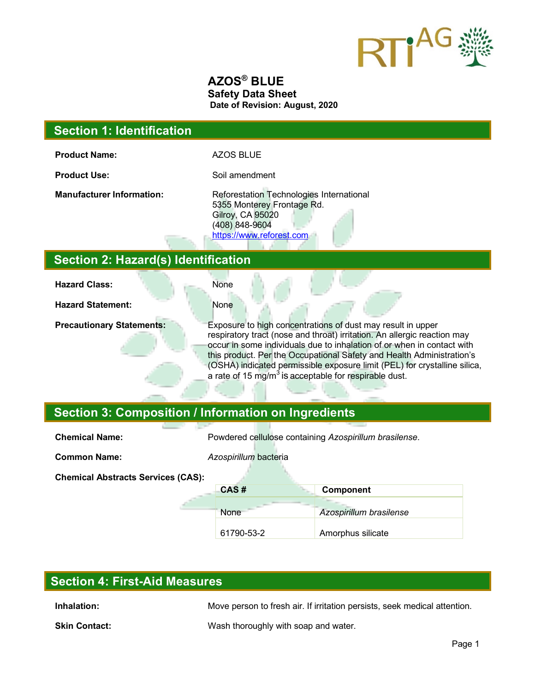

### **AZOS® BLUE Safety Data Sheet Date of Revision: August, 2020**

### **Section 1: Identification**

**Product Name:** AZOS BLUE

**Product Use:** Soil amendment

**Manufacturer Information:** Reforestation Technologies International 5355 Monterey Frontage Rd. Gilroy, CA 95020 (408) 848-9604 https://www.reforest.com

### **Section 2: Hazard(s) Identification**

| <b>Hazard Class:</b>             | None                                                                                                                                                                                                                                                                                                                                                                                                                                         |
|----------------------------------|----------------------------------------------------------------------------------------------------------------------------------------------------------------------------------------------------------------------------------------------------------------------------------------------------------------------------------------------------------------------------------------------------------------------------------------------|
| <b>Hazard Statement:</b>         | None                                                                                                                                                                                                                                                                                                                                                                                                                                         |
| <b>Precautionary Statements:</b> | Exposure to high concentrations of dust may result in upper<br>respiratory tract (nose and throat) irritation. An allergic reaction may<br>occur in some individuals due to inhalation of or when in contact with<br>this product. Per the Occupational Safety and Health Administration's<br>(OSHA) indicated permissible exposure limit (PEL) for crystalline silica,<br>a rate of 15 mg/m <sup>3</sup> is acceptable for respirable dust. |

# **Section 3: Composition / Information on Ingredients**

| <b>Chemical Name:</b>                     | Powdered cellulose containing Azospirillum brasilense. |                         |
|-------------------------------------------|--------------------------------------------------------|-------------------------|
|                                           |                                                        |                         |
| <b>Common Name:</b>                       | Azospirillum bacteria                                  |                         |
| <b>Chemical Abstracts Services (CAS):</b> |                                                        |                         |
|                                           | CAS#                                                   | Component               |
|                                           |                                                        |                         |
|                                           | None                                                   | Azospirillum brasilense |
|                                           | 61790-53-2                                             | Amorphus silicate       |

# **Section 4: First-Aid Measures**

**Inhalation:** Move person to fresh air. If irritation persists, seek medical attention.

**Skin Contact:** Wash thoroughly with soap and water.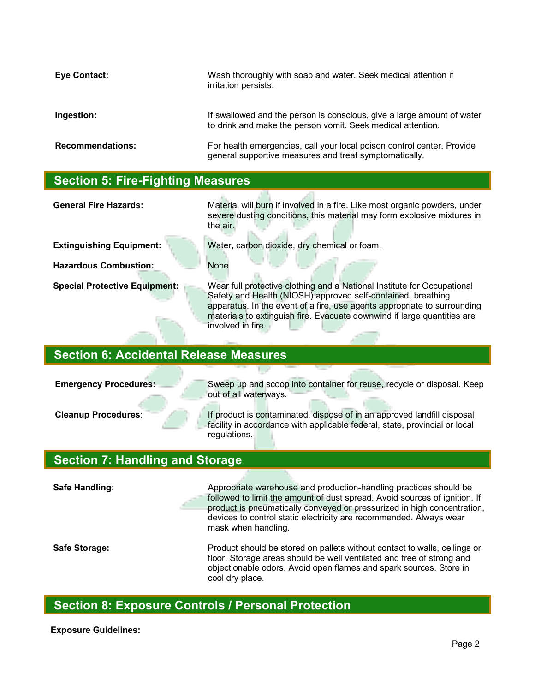| Eye Contact:            | Wash thoroughly with soap and water. Seek medical attention if<br>irritation persists.                                                |
|-------------------------|---------------------------------------------------------------------------------------------------------------------------------------|
| Ingestion:              | If swallowed and the person is conscious, give a large amount of water<br>to drink and make the person vomit. Seek medical attention. |
| <b>Recommendations:</b> | For health emergencies, call your local poison control center. Provide<br>general supportive measures and treat symptomatically.      |

### **Section 5: Fire-Fighting Measures**

**General Fire Hazards:** Material will burn if involved in a fire. Like most organic powders, under severe dusting conditions, this material may form explosive mixtures in the air.

**Hazardous Combustion:** None

**Extinguishing Equipment:** Water, carbon dioxide, dry chemical or foam.

**Special Protective Equipment:** Wear full protective clothing and a National Institute for Occupational Safety and Health (NIOSH) approved self-contained, breathing apparatus. In the event of a fire, use agents appropriate to surrounding materials to extinguish fire. Evacuate downwind if large quantities are involved in fire.

### **Section 6: Accidental Release Measures**

**Emergency Procedures:** Sweep up and scoop into container for reuse, recycle or disposal. Keep out of all waterways.

**Cleanup Procedures**: If product is contaminated, dispose of in an approved landfill disposal facility in accordance with applicable federal, state, provincial or local regulations.

### **Section 7: Handling and Storage**

**Safe Handling:** Appropriate warehouse and production-handling practices should be followed to limit the amount of dust spread. Avoid sources of ignition. If product is pneumatically conveyed or pressurized in high concentration, devices to control static electricity are recommended. Always wear mask when handling. **Safe Storage:** Product should be stored on pallets without contact to walls, ceilings or floor. Storage areas should be well ventilated and free of strong and objectionable odors. Avoid open flames and spark sources. Store in cool dry place.

# **Section 8: Exposure Controls / Personal Protection**

**Exposure Guidelines:**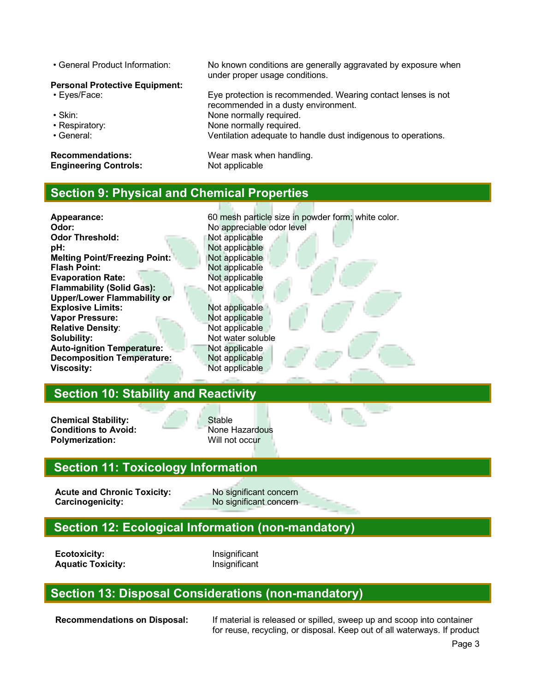#### **Personal Protective Equipment:**

- 
- 
- 
- 

**Engineering Controls:** Not applicable

• General Product Information: No known conditions are generally aggravated by exposure when under proper usage conditions.

• Eyes/Face: Eye protection is recommended. Wearing contact lenses is not recommended in a dusty environment. • Skin: None normally required. • Respiratory: None normally required.<br>• General: Nentilation adequate to the Seneral: Ventilation adequate to handle dust indigenous to operations.

**Recommendations:** Wear mask when handling.

# **Section 9: Physical and Chemical Properties**

Appearance: **Appearance:** 60 mesh particle size in powder form; white color. **Odor:** No appreciable odor level **Odor Threshold:** Not applicable **pH:** Not applicable<br>**Melting Point/Freezing Point:** Not applicable **Melting Point/Freezing Point: Flash Point:** Not applicable **Evaporation Rate:** Not applicable **Flammability (Solid Gas):** Not applicable **Upper/Lower Flammability or Explosive Limits:** Not applicable **Vapor Pressure:** Not applicable **Relative Density:** Not applicable **Solubility:** Not water soluble **Auto-ignition Temperature:** Not applicable **Decomposition Temperature:** Not applicable **Viscosity:** Not applicable **Section 10: Stability and Reactivity**

**Chemical Stability:** Stable **Conditions to Avoid:** None Hazardous<br> **Polymerization:** Will not occur **Polymerization:** 

# **Section 11: Toxicology Information**

Acute and Chronic Toxicity: No significant concern **Carcinogenicity:** No significant concern

# **Section 12: Ecological Information (non-mandatory)**

**Ecotoxicity:** Insignificant **Aquatic Toxicity:** Insignificant

# **Section 13: Disposal Considerations (non-mandatory)**

**Recommendations on Disposal:** If material is released or spilled, sweep up and scoop into container for reuse, recycling, or disposal. Keep out of all waterways. If product